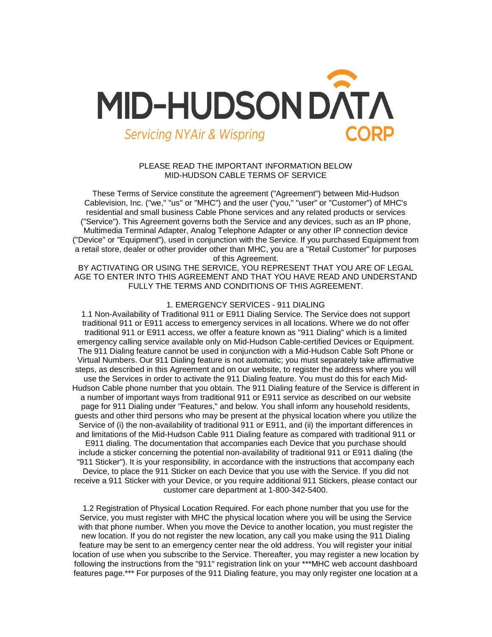

# PLEASE READ THE IMPORTANT INFORMATION BELOW MID-HUDSON CABLE TERMS OF SERVICE

These Terms of Service constitute the agreement ("Agreement") between Mid-Hudson Cablevision, Inc. ("we," "us" or "MHC") and the user ("you," "user" or "Customer") of MHC's residential and small business Cable Phone services and any related products or services ("Service"). This Agreement governs both the Service and any devices, such as an IP phone, Multimedia Terminal Adapter, Analog Telephone Adapter or any other IP connection device ("Device" or "Equipment"), used in conjunction with the Service. If you purchased Equipment from a retail store, dealer or other provider other than MHC, you are a "Retail Customer" for purposes of this Agreement.

BY ACTIVATING OR USING THE SERVICE, YOU REPRESENT THAT YOU ARE OF LEGAL AGE TO ENTER INTO THIS AGREEMENT AND THAT YOU HAVE READ AND UNDERSTAND FULLY THE TERMS AND CONDITIONS OF THIS AGREEMENT.

### 1. EMERGENCY SERVICES - 911 DIALING

1.1 Non-Availability of Traditional 911 or E911 Dialing Service. The Service does not support traditional 911 or E911 access to emergency services in all locations. Where we do not offer traditional 911 or E911 access, we offer a feature known as "911 Dialing" which is a limited emergency calling service available only on Mid-Hudson Cable-certified Devices or Equipment. The 911 Dialing feature cannot be used in conjunction with a Mid-Hudson Cable Soft Phone or Virtual Numbers. Our 911 Dialing feature is not automatic; you must separately take affirmative steps, as described in this Agreement and on our website, to register the address where you will use the Services in order to activate the 911 Dialing feature. You must do this for each Mid-Hudson Cable phone number that you obtain. The 911 Dialing feature of the Service is different in a number of important ways from traditional 911 or E911 service as described on our website page for 911 Dialing under "Features," and below. You shall inform any household residents, guests and other third persons who may be present at the physical location where you utilize the Service of (i) the non-availability of traditional 911 or E911, and (ii) the important differences in and limitations of the Mid-Hudson Cable 911 Dialing feature as compared with traditional 911 or E911 dialing. The documentation that accompanies each Device that you purchase should include a sticker concerning the potential non-availability of traditional 911 or E911 dialing (the "911 Sticker"). It is your responsibility, in accordance with the instructions that accompany each Device, to place the 911 Sticker on each Device that you use with the Service. If you did not receive a 911 Sticker with your Device, or you require additional 911 Stickers, please contact our customer care department at 1-800-342-5400.

1.2 Registration of Physical Location Required. For each phone number that you use for the Service, you must register with MHC the physical location where you will be using the Service with that phone number. When you move the Device to another location, you must register the new location. If you do not register the new location, any call you make using the 911 Dialing feature may be sent to an emergency center near the old address. You will register your initial location of use when you subscribe to the Service. Thereafter, you may register a new location by following the instructions from the "911" registration link on your \*\*\*MHC web account dashboard features page.\*\*\* For purposes of the 911 Dialing feature, you may only register one location at a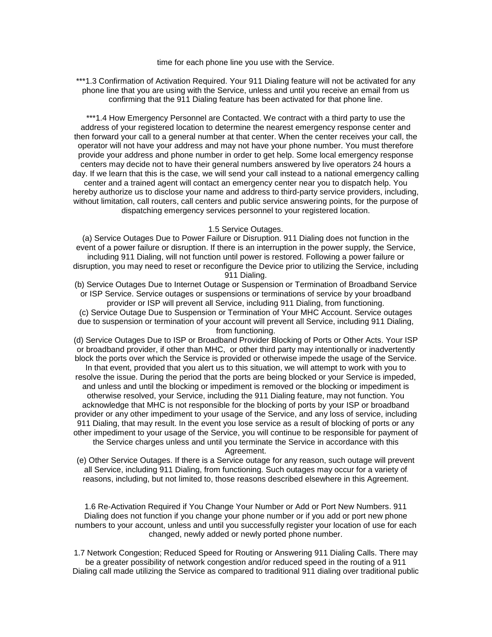time for each phone line you use with the Service.

\*\*\*1.3 Confirmation of Activation Required. Your 911 Dialing feature will not be activated for any phone line that you are using with the Service, unless and until you receive an email from us confirming that the 911 Dialing feature has been activated for that phone line.

\*\*\*1.4 How Emergency Personnel are Contacted. We contract with a third party to use the address of your registered location to determine the nearest emergency response center and then forward your call to a general number at that center. When the center receives your call, the operator will not have your address and may not have your phone number. You must therefore provide your address and phone number in order to get help. Some local emergency response centers may decide not to have their general numbers answered by live operators 24 hours a day. If we learn that this is the case, we will send your call instead to a national emergency calling center and a trained agent will contact an emergency center near you to dispatch help. You hereby authorize us to disclose your name and address to third-party service providers, including, without limitation, call routers, call centers and public service answering points, for the purpose of dispatching emergency services personnel to your registered location.

### 1.5 Service Outages.

(a) Service Outages Due to Power Failure or Disruption. 911 Dialing does not function in the event of a power failure or disruption. If there is an interruption in the power supply, the Service, including 911 Dialing, will not function until power is restored. Following a power failure or disruption, you may need to reset or reconfigure the Device prior to utilizing the Service, including 911 Dialing.

(b) Service Outages Due to Internet Outage or Suspension or Termination of Broadband Service or ISP Service. Service outages or suspensions or terminations of service by your broadband provider or ISP will prevent all Service, including 911 Dialing, from functioning.

(c) Service Outage Due to Suspension or Termination of Your MHC Account. Service outages due to suspension or termination of your account will prevent all Service, including 911 Dialing, from functioning.

(d) Service Outages Due to ISP or Broadband Provider Blocking of Ports or Other Acts. Your ISP or broadband provider, if other than MHC, or other third party may intentionally or inadvertently block the ports over which the Service is provided or otherwise impede the usage of the Service. In that event, provided that you alert us to this situation, we will attempt to work with you to

resolve the issue. During the period that the ports are being blocked or your Service is impeded, and unless and until the blocking or impediment is removed or the blocking or impediment is otherwise resolved, your Service, including the 911 Dialing feature, may not function. You acknowledge that MHC is not responsible for the blocking of ports by your ISP or broadband provider or any other impediment to your usage of the Service, and any loss of service, including 911 Dialing, that may result. In the event you lose service as a result of blocking of ports or any other impediment to your usage of the Service, you will continue to be responsible for payment of the Service charges unless and until you terminate the Service in accordance with this

Agreement.

(e) Other Service Outages. If there is a Service outage for any reason, such outage will prevent all Service, including 911 Dialing, from functioning. Such outages may occur for a variety of reasons, including, but not limited to, those reasons described elsewhere in this Agreement.

1.6 Re-Activation Required if You Change Your Number or Add or Port New Numbers. 911 Dialing does not function if you change your phone number or if you add or port new phone numbers to your account, unless and until you successfully register your location of use for each changed, newly added or newly ported phone number.

1.7 Network Congestion; Reduced Speed for Routing or Answering 911 Dialing Calls. There may be a greater possibility of network congestion and/or reduced speed in the routing of a 911 Dialing call made utilizing the Service as compared to traditional 911 dialing over traditional public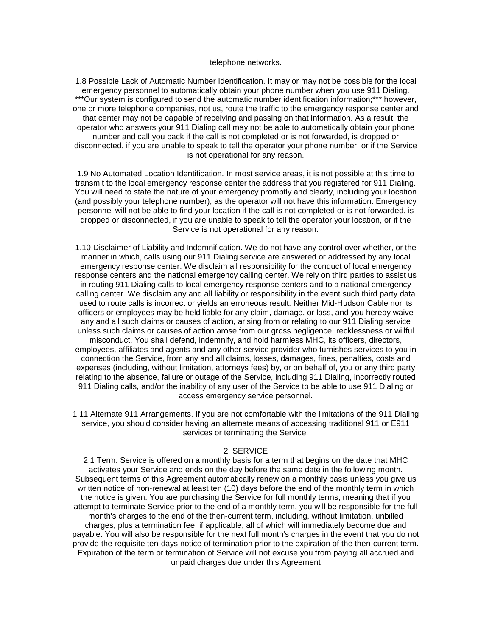### telephone networks.

1.8 Possible Lack of Automatic Number Identification. It may or may not be possible for the local emergency personnel to automatically obtain your phone number when you use 911 Dialing. \*\*\*Our system is configured to send the automatic number identification information;\*\*\* however, one or more telephone companies, not us, route the traffic to the emergency response center and that center may not be capable of receiving and passing on that information. As a result, the operator who answers your 911 Dialing call may not be able to automatically obtain your phone number and call you back if the call is not completed or is not forwarded, is dropped or disconnected, if you are unable to speak to tell the operator your phone number, or if the Service is not operational for any reason.

1.9 No Automated Location Identification. In most service areas, it is not possible at this time to transmit to the local emergency response center the address that you registered for 911 Dialing. You will need to state the nature of your emergency promptly and clearly, including your location (and possibly your telephone number), as the operator will not have this information. Emergency personnel will not be able to find your location if the call is not completed or is not forwarded, is dropped or disconnected, if you are unable to speak to tell the operator your location, or if the Service is not operational for any reason.

1.10 Disclaimer of Liability and Indemnification. We do not have any control over whether, or the manner in which, calls using our 911 Dialing service are answered or addressed by any local emergency response center. We disclaim all responsibility for the conduct of local emergency response centers and the national emergency calling center. We rely on third parties to assist us in routing 911 Dialing calls to local emergency response centers and to a national emergency calling center. We disclaim any and all liability or responsibility in the event such third party data used to route calls is incorrect or yields an erroneous result. Neither Mid-Hudson Cable nor its officers or employees may be held liable for any claim, damage, or loss, and you hereby waive any and all such claims or causes of action, arising from or relating to our 911 Dialing service unless such claims or causes of action arose from our gross negligence, recklessness or willful misconduct. You shall defend, indemnify, and hold harmless MHC, its officers, directors, employees, affiliates and agents and any other service provider who furnishes services to you in connection the Service, from any and all claims, losses, damages, fines, penalties, costs and expenses (including, without limitation, attorneys fees) by, or on behalf of, you or any third party relating to the absence, failure or outage of the Service, including 911 Dialing, incorrectly routed 911 Dialing calls, and/or the inability of any user of the Service to be able to use 911 Dialing or access emergency service personnel.

1.11 Alternate 911 Arrangements. If you are not comfortable with the limitations of the 911 Dialing service, you should consider having an alternate means of accessing traditional 911 or E911 services or terminating the Service.

#### 2. SERVICE

2.1 Term. Service is offered on a monthly basis for a term that begins on the date that MHC activates your Service and ends on the day before the same date in the following month. Subsequent terms of this Agreement automatically renew on a monthly basis unless you give us written notice of non-renewal at least ten (10) days before the end of the monthly term in which the notice is given. You are purchasing the Service for full monthly terms, meaning that if you attempt to terminate Service prior to the end of a monthly term, you will be responsible for the full month's charges to the end of the then-current term, including, without limitation, unbilled charges, plus a termination fee, if applicable, all of which will immediately become due and payable. You will also be responsible for the next full month's charges in the event that you do not provide the requisite ten-days notice of termination prior to the expiration of the then-current term. Expiration of the term or termination of Service will not excuse you from paying all accrued and unpaid charges due under this Agreement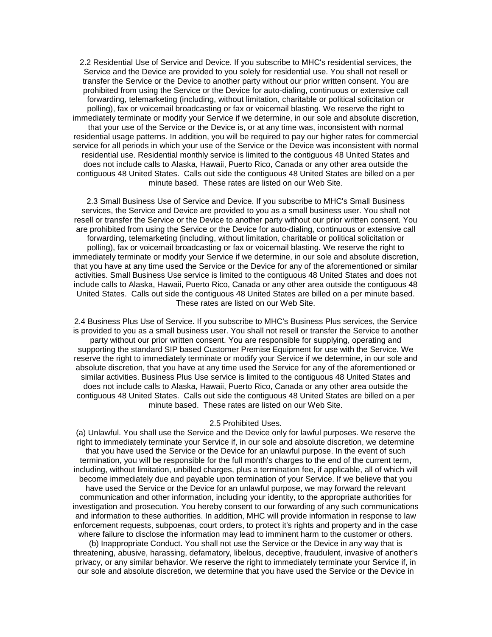2.2 Residential Use of Service and Device. If you subscribe to MHC's residential services, the Service and the Device are provided to you solely for residential use. You shall not resell or transfer the Service or the Device to another party without our prior written consent. You are prohibited from using the Service or the Device for auto-dialing, continuous or extensive call forwarding, telemarketing (including, without limitation, charitable or political solicitation or polling), fax or voicemail broadcasting or fax or voicemail blasting. We reserve the right to immediately terminate or modify your Service if we determine, in our sole and absolute discretion, that your use of the Service or the Device is, or at any time was, inconsistent with normal residential usage patterns. In addition, you will be required to pay our higher rates for commercial service for all periods in which your use of the Service or the Device was inconsistent with normal residential use. Residential monthly service is limited to the contiguous 48 United States and does not include calls to Alaska, Hawaii, Puerto Rico, Canada or any other area outside the contiguous 48 United States. Calls out side the contiguous 48 United States are billed on a per minute based. These rates are listed on our Web Site.

2.3 Small Business Use of Service and Device. If you subscribe to MHC's Small Business services, the Service and Device are provided to you as a small business user. You shall not resell or transfer the Service or the Device to another party without our prior written consent. You are prohibited from using the Service or the Device for auto-dialing, continuous or extensive call forwarding, telemarketing (including, without limitation, charitable or political solicitation or polling), fax or voicemail broadcasting or fax or voicemail blasting. We reserve the right to immediately terminate or modify your Service if we determine, in our sole and absolute discretion, that you have at any time used the Service or the Device for any of the aforementioned or similar activities. Small Business Use service is limited to the contiguous 48 United States and does not include calls to Alaska, Hawaii, Puerto Rico, Canada or any other area outside the contiguous 48 United States. Calls out side the contiguous 48 United States are billed on a per minute based. These rates are listed on our Web Site.

2.4 Business Plus Use of Service. If you subscribe to MHC's Business Plus services, the Service is provided to you as a small business user. You shall not resell or transfer the Service to another party without our prior written consent. You are responsible for supplying, operating and supporting the standard SIP based Customer Premise Equipment for use with the Service. We reserve the right to immediately terminate or modify your Service if we determine, in our sole and absolute discretion, that you have at any time used the Service for any of the aforementioned or similar activities. Business Plus Use service is limited to the contiguous 48 United States and does not include calls to Alaska, Hawaii, Puerto Rico, Canada or any other area outside the contiguous 48 United States. Calls out side the contiguous 48 United States are billed on a per minute based. These rates are listed on our Web Site.

#### 2.5 Prohibited Uses.

(a) Unlawful. You shall use the Service and the Device only for lawful purposes. We reserve the right to immediately terminate your Service if, in our sole and absolute discretion, we determine that you have used the Service or the Device for an unlawful purpose. In the event of such termination, you will be responsible for the full month's charges to the end of the current term, including, without limitation, unbilled charges, plus a termination fee, if applicable, all of which will become immediately due and payable upon termination of your Service. If we believe that you have used the Service or the Device for an unlawful purpose, we may forward the relevant communication and other information, including your identity, to the appropriate authorities for investigation and prosecution. You hereby consent to our forwarding of any such communications and information to these authorities. In addition, MHC will provide information in response to law enforcement requests, subpoenas, court orders, to protect it's rights and property and in the case where failure to disclose the information may lead to imminent harm to the customer or others.

(b) Inappropriate Conduct. You shall not use the Service or the Device in any way that is threatening, abusive, harassing, defamatory, libelous, deceptive, fraudulent, invasive of another's privacy, or any similar behavior. We reserve the right to immediately terminate your Service if, in our sole and absolute discretion, we determine that you have used the Service or the Device in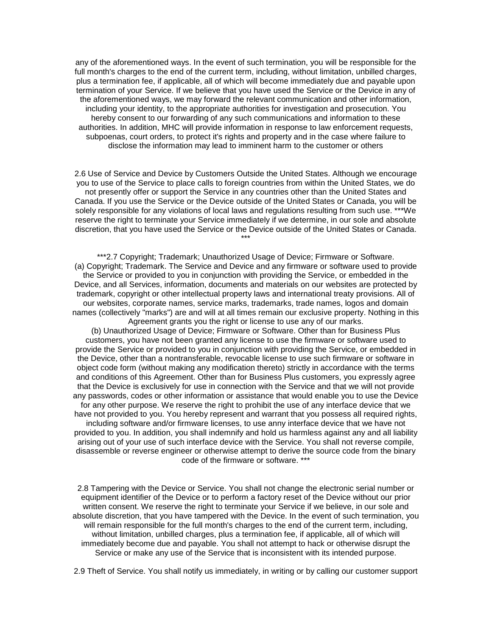any of the aforementioned ways. In the event of such termination, you will be responsible for the full month's charges to the end of the current term, including, without limitation, unbilled charges, plus a termination fee, if applicable, all of which will become immediately due and payable upon termination of your Service. If we believe that you have used the Service or the Device in any of the aforementioned ways, we may forward the relevant communication and other information, including your identity, to the appropriate authorities for investigation and prosecution. You hereby consent to our forwarding of any such communications and information to these authorities. In addition, MHC will provide information in response to law enforcement requests, subpoenas, court orders, to protect it's rights and property and in the case where failure to disclose the information may lead to imminent harm to the customer or others

2.6 Use of Service and Device by Customers Outside the United States. Although we encourage you to use of the Service to place calls to foreign countries from within the United States, we do not presently offer or support the Service in any countries other than the United States and Canada. If you use the Service or the Device outside of the United States or Canada, you will be solely responsible for any violations of local laws and regulations resulting from such use. \*\*\*We reserve the right to terminate your Service immediately if we determine, in our sole and absolute discretion, that you have used the Service or the Device outside of the United States or Canada. \*\*\*

\*\*\*2.7 Copyright; Trademark; Unauthorized Usage of Device; Firmware or Software. (a) Copyright; Trademark. The Service and Device and any firmware or software used to provide the Service or provided to you in conjunction with providing the Service, or embedded in the Device, and all Services, information, documents and materials on our websites are protected by trademark, copyright or other intellectual property laws and international treaty provisions. All of our websites, corporate names, service marks, trademarks, trade names, logos and domain names (collectively "marks") are and will at all times remain our exclusive property. Nothing in this Agreement grants you the right or license to use any of our marks.

(b) Unauthorized Usage of Device; Firmware or Software. Other than for Business Plus customers, you have not been granted any license to use the firmware or software used to provide the Service or provided to you in conjunction with providing the Service, or embedded in the Device, other than a nontransferable, revocable license to use such firmware or software in object code form (without making any modification thereto) strictly in accordance with the terms and conditions of this Agreement. Other than for Business Plus customers, you expressly agree that the Device is exclusively for use in connection with the Service and that we will not provide any passwords, codes or other information or assistance that would enable you to use the Device for any other purpose. We reserve the right to prohibit the use of any interface device that we have not provided to you. You hereby represent and warrant that you possess all required rights, including software and/or firmware licenses, to use anny interface device that we have not provided to you. In addition, you shall indemnify and hold us harmless against any and all liability arising out of your use of such interface device with the Service. You shall not reverse compile, disassemble or reverse engineer or otherwise attempt to derive the source code from the binary code of the firmware or software. \*\*\*

2.8 Tampering with the Device or Service. You shall not change the electronic serial number or equipment identifier of the Device or to perform a factory reset of the Device without our prior written consent. We reserve the right to terminate your Service if we believe, in our sole and absolute discretion, that you have tampered with the Device. In the event of such termination, you will remain responsible for the full month's charges to the end of the current term, including, without limitation, unbilled charges, plus a termination fee, if applicable, all of which will immediately become due and payable. You shall not attempt to hack or otherwise disrupt the Service or make any use of the Service that is inconsistent with its intended purpose.

2.9 Theft of Service. You shall notify us immediately, in writing or by calling our customer support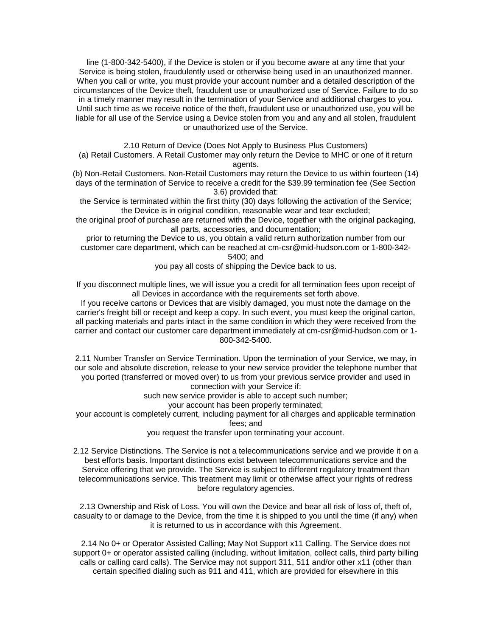line (1-800-342-5400), if the Device is stolen or if you become aware at any time that your Service is being stolen, fraudulently used or otherwise being used in an unauthorized manner. When you call or write, you must provide your account number and a detailed description of the circumstances of the Device theft, fraudulent use or unauthorized use of Service. Failure to do so in a timely manner may result in the termination of your Service and additional charges to you. Until such time as we receive notice of the theft, fraudulent use or unauthorized use, you will be liable for all use of the Service using a Device stolen from you and any and all stolen, fraudulent or unauthorized use of the Service.

2.10 Return of Device (Does Not Apply to Business Plus Customers)

(a) Retail Customers. A Retail Customer may only return the Device to MHC or one of it return agents.

(b) Non-Retail Customers. Non-Retail Customers may return the Device to us within fourteen (14) days of the termination of Service to receive a credit for the \$39.99 termination fee (See Section 3.6) provided that:

the Service is terminated within the first thirty (30) days following the activation of the Service; the Device is in original condition, reasonable wear and tear excluded;

the original proof of purchase are returned with the Device, together with the original packaging, all parts, accessories, and documentation;

prior to returning the Device to us, you obtain a valid return authorization number from our customer care department, which can be reached at cm-csr@mid-hudson.com or 1-800-342- 5400; and

you pay all costs of shipping the Device back to us.

If you disconnect multiple lines, we will issue you a credit for all termination fees upon receipt of all Devices in accordance with the requirements set forth above.

If you receive cartons or Devices that are visibly damaged, you must note the damage on the carrier's freight bill or receipt and keep a copy. In such event, you must keep the original carton, all packing materials and parts intact in the same condition in which they were received from the carrier and contact our customer care department immediately at cm-csr@mid-hudson.com or 1- 800-342-5400.

2.11 Number Transfer on Service Termination. Upon the termination of your Service, we may, in our sole and absolute discretion, release to your new service provider the telephone number that you ported (transferred or moved over) to us from your previous service provider and used in connection with your Service if:

such new service provider is able to accept such number;

your account has been properly terminated;

your account is completely current, including payment for all charges and applicable termination fees; and

you request the transfer upon terminating your account.

2.12 Service Distinctions. The Service is not a telecommunications service and we provide it on a best efforts basis. Important distinctions exist between telecommunications service and the Service offering that we provide. The Service is subject to different regulatory treatment than telecommunications service. This treatment may limit or otherwise affect your rights of redress before regulatory agencies.

2.13 Ownership and Risk of Loss. You will own the Device and bear all risk of loss of, theft of, casualty to or damage to the Device, from the time it is shipped to you until the time (if any) when it is returned to us in accordance with this Agreement.

2.14 No 0+ or Operator Assisted Calling; May Not Support x11 Calling. The Service does not support 0+ or operator assisted calling (including, without limitation, collect calls, third party billing calls or calling card calls). The Service may not support 311, 511 and/or other x11 (other than certain specified dialing such as 911 and 411, which are provided for elsewhere in this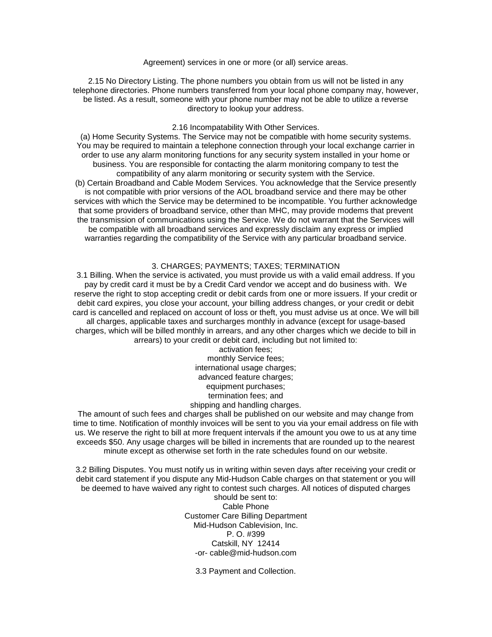Agreement) services in one or more (or all) service areas.

2.15 No Directory Listing. The phone numbers you obtain from us will not be listed in any telephone directories. Phone numbers transferred from your local phone company may, however, be listed. As a result, someone with your phone number may not be able to utilize a reverse directory to lookup your address.

#### 2.16 Incompatability With Other Services.

(a) Home Security Systems. The Service may not be compatible with home security systems. You may be required to maintain a telephone connection through your local exchange carrier in order to use any alarm monitoring functions for any security system installed in your home or business. You are responsible for contacting the alarm monitoring company to test the compatibility of any alarm monitoring or security system with the Service. (b) Certain Broadband and Cable Modem Services. You acknowledge that the Service presently is not compatible with prior versions of the AOL broadband service and there may be other services with which the Service may be determined to be incompatible. You further acknowledge that some providers of broadband service, other than MHC, may provide modems that prevent the transmission of communications using the Service. We do not warrant that the Services will be compatible with all broadband services and expressly disclaim any express or implied warranties regarding the compatibility of the Service with any particular broadband service.

# 3. CHARGES; PAYMENTS; TAXES; TERMINATION

3.1 Billing. When the service is activated, you must provide us with a valid email address. If you pay by credit card it must be by a Credit Card vendor we accept and do business with. We reserve the right to stop accepting credit or debit cards from one or more issuers. If your credit or debit card expires, you close your account, your billing address changes, or your credit or debit card is cancelled and replaced on account of loss or theft, you must advise us at once. We will bill all charges, applicable taxes and surcharges monthly in advance (except for usage-based charges, which will be billed monthly in arrears, and any other charges which we decide to bill in arrears) to your credit or debit card, including but not limited to:

> activation fees; monthly Service fees; international usage charges; advanced feature charges: equipment purchases; termination fees; and shipping and handling charges.

The amount of such fees and charges shall be published on our website and may change from time to time. Notification of monthly invoices will be sent to you via your email address on file with us. We reserve the right to bill at more frequent intervals if the amount you owe to us at any time exceeds \$50. Any usage charges will be billed in increments that are rounded up to the nearest minute except as otherwise set forth in the rate schedules found on our website.

3.2 Billing Disputes. You must notify us in writing within seven days after receiving your credit or debit card statement if you dispute any Mid-Hudson Cable charges on that statement or you will be deemed to have waived any right to contest such charges. All notices of disputed charges

> should be sent to: Cable Phone Customer Care Billing Department Mid-Hudson Cablevision, Inc. P. O. #399 Catskill, NY 12414 -or- cable@mid-hudson.com

3.3 Payment and Collection.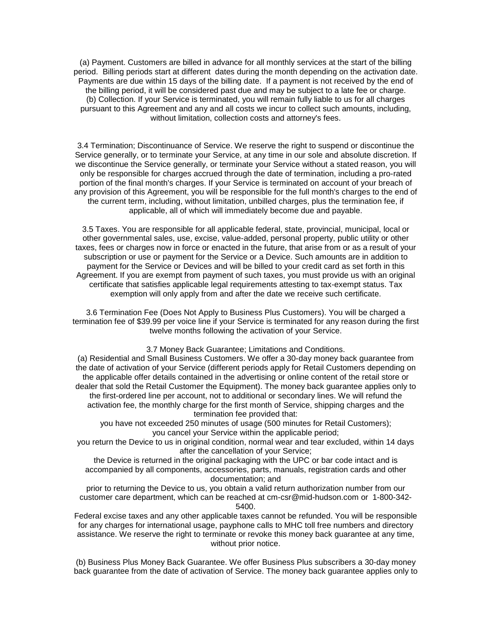(a) Payment. Customers are billed in advance for all monthly services at the start of the billing period. Billing periods start at different dates during the month depending on the activation date. Payments are due within 15 days of the billing date. If a payment is not received by the end of the billing period, it will be considered past due and may be subject to a late fee or charge. (b) Collection. If your Service is terminated, you will remain fully liable to us for all charges pursuant to this Agreement and any and all costs we incur to collect such amounts, including, without limitation, collection costs and attorney's fees.

3.4 Termination; Discontinuance of Service. We reserve the right to suspend or discontinue the Service generally, or to terminate your Service, at any time in our sole and absolute discretion. If we discontinue the Service generally, or terminate your Service without a stated reason, you will only be responsible for charges accrued through the date of termination, including a pro-rated portion of the final month's charges. If your Service is terminated on account of your breach of any provision of this Agreement, you will be responsible for the full month's charges to the end of the current term, including, without limitation, unbilled charges, plus the termination fee, if applicable, all of which will immediately become due and payable.

3.5 Taxes. You are responsible for all applicable federal, state, provincial, municipal, local or other governmental sales, use, excise, value-added, personal property, public utility or other taxes, fees or charges now in force or enacted in the future, that arise from or as a result of your subscription or use or payment for the Service or a Device. Such amounts are in addition to payment for the Service or Devices and will be billed to your credit card as set forth in this Agreement. If you are exempt from payment of such taxes, you must provide us with an original certificate that satisfies applicable legal requirements attesting to tax-exempt status. Tax exemption will only apply from and after the date we receive such certificate.

3.6 Termination Fee (Does Not Apply to Business Plus Customers). You will be charged a termination fee of \$39.99 per voice line if your Service is terminated for any reason during the first twelve months following the activation of your Service.

# 3.7 Money Back Guarantee; Limitations and Conditions.

(a) Residential and Small Business Customers. We offer a 30-day money back guarantee from the date of activation of your Service (different periods apply for Retail Customers depending on the applicable offer details contained in the advertising or online content of the retail store or dealer that sold the Retail Customer the Equipment). The money back guarantee applies only to the first-ordered line per account, not to additional or secondary lines. We will refund the activation fee, the monthly charge for the first month of Service, shipping charges and the termination fee provided that:

you have not exceeded 250 minutes of usage (500 minutes for Retail Customers); you cancel your Service within the applicable period;

you return the Device to us in original condition, normal wear and tear excluded, within 14 days after the cancellation of your Service;

the Device is returned in the original packaging with the UPC or bar code intact and is accompanied by all components, accessories, parts, manuals, registration cards and other documentation; and

prior to returning the Device to us, you obtain a valid return authorization number from our customer care department, which can be reached at cm-csr@mid-hudson.com or 1-800-342- 5400.

Federal excise taxes and any other applicable taxes cannot be refunded. You will be responsible for any charges for international usage, payphone calls to MHC toll free numbers and directory assistance. We reserve the right to terminate or revoke this money back guarantee at any time, without prior notice.

(b) Business Plus Money Back Guarantee. We offer Business Plus subscribers a 30-day money back guarantee from the date of activation of Service. The money back guarantee applies only to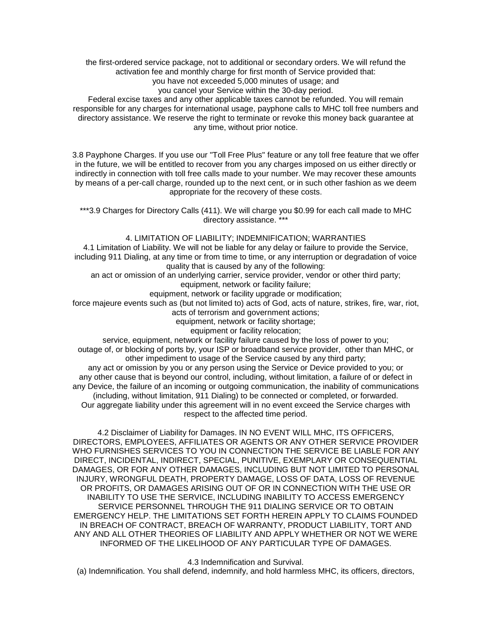the first-ordered service package, not to additional or secondary orders. We will refund the activation fee and monthly charge for first month of Service provided that: you have not exceeded 5,000 minutes of usage; and

you cancel your Service within the 30-day period.

Federal excise taxes and any other applicable taxes cannot be refunded. You will remain responsible for any charges for international usage, payphone calls to MHC toll free numbers and directory assistance. We reserve the right to terminate or revoke this money back guarantee at any time, without prior notice.

3.8 Payphone Charges. If you use our "Toll Free Plus" feature or any toll free feature that we offer in the future, we will be entitled to recover from you any charges imposed on us either directly or indirectly in connection with toll free calls made to your number. We may recover these amounts by means of a per-call charge, rounded up to the next cent, or in such other fashion as we deem appropriate for the recovery of these costs.

\*\*\*3.9 Charges for Directory Calls (411). We will charge you \$0.99 for each call made to MHC directory assistance. \*

4. LIMITATION OF LIABILITY; INDEMNIFICATION; WARRANTIES

4.1 Limitation of Liability. We will not be liable for any delay or failure to provide the Service, including 911 Dialing, at any time or from time to time, or any interruption or degradation of voice quality that is caused by any of the following:

an act or omission of an underlying carrier, service provider, vendor or other third party; equipment, network or facility failure;

equipment, network or facility upgrade or modification;

force majeure events such as (but not limited to) acts of God, acts of nature, strikes, fire, war, riot, acts of terrorism and government actions;

equipment, network or facility shortage;

equipment or facility relocation;

service, equipment, network or facility failure caused by the loss of power to you; outage of, or blocking of ports by, your ISP or broadband service provider, other than MHC, or other impediment to usage of the Service caused by any third party;

any act or omission by you or any person using the Service or Device provided to you; or any other cause that is beyond our control, including, without limitation, a failure of or defect in any Device, the failure of an incoming or outgoing communication, the inability of communications (including, without limitation, 911 Dialing) to be connected or completed, or forwarded. Our aggregate liability under this agreement will in no event exceed the Service charges with respect to the affected time period.

4.2 Disclaimer of Liability for Damages. IN NO EVENT WILL MHC, ITS OFFICERS, DIRECTORS, EMPLOYEES, AFFILIATES OR AGENTS OR ANY OTHER SERVICE PROVIDER WHO FURNISHES SERVICES TO YOU IN CONNECTION THE SERVICE BE LIABLE FOR ANY DIRECT, INCIDENTAL, INDIRECT, SPECIAL, PUNITIVE, EXEMPLARY OR CONSEQUENTIAL DAMAGES, OR FOR ANY OTHER DAMAGES, INCLUDING BUT NOT LIMITED TO PERSONAL INJURY, WRONGFUL DEATH, PROPERTY DAMAGE, LOSS OF DATA, LOSS OF REVENUE OR PROFITS, OR DAMAGES ARISING OUT OF OR IN CONNECTION WITH THE USE OR INABILITY TO USE THE SERVICE, INCLUDING INABILITY TO ACCESS EMERGENCY SERVICE PERSONNEL THROUGH THE 911 DIALING SERVICE OR TO OBTAIN EMERGENCY HELP. THE LIMITATIONS SET FORTH HEREIN APPLY TO CLAIMS FOUNDED IN BREACH OF CONTRACT, BREACH OF WARRANTY, PRODUCT LIABILITY, TORT AND ANY AND ALL OTHER THEORIES OF LIABILITY AND APPLY WHETHER OR NOT WE WERE INFORMED OF THE LIKELIHOOD OF ANY PARTICULAR TYPE OF DAMAGES.

4.3 Indemnification and Survival.

(a) Indemnification. You shall defend, indemnify, and hold harmless MHC, its officers, directors,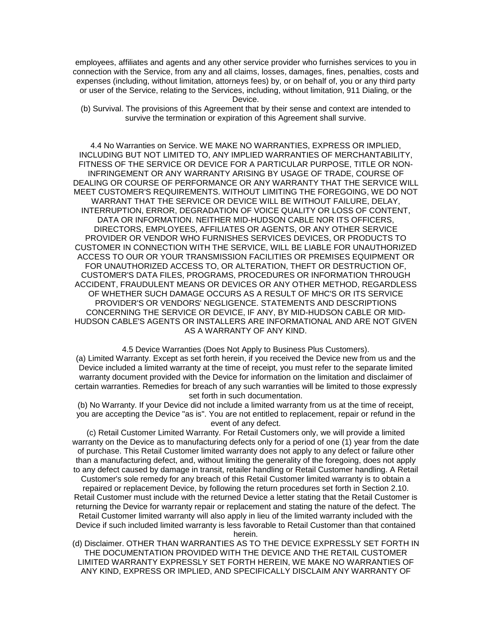employees, affiliates and agents and any other service provider who furnishes services to you in connection with the Service, from any and all claims, losses, damages, fines, penalties, costs and expenses (including, without limitation, attorneys fees) by, or on behalf of, you or any third party or user of the Service, relating to the Services, including, without limitation, 911 Dialing, or the Device.

(b) Survival. The provisions of this Agreement that by their sense and context are intended to survive the termination or expiration of this Agreement shall survive.

4.4 No Warranties on Service. WE MAKE NO WARRANTIES, EXPRESS OR IMPLIED, INCLUDING BUT NOT LIMITED TO, ANY IMPLIED WARRANTIES OF MERCHANTABILITY, FITNESS OF THE SERVICE OR DEVICE FOR A PARTICULAR PURPOSE, TITLE OR NON-INFRINGEMENT OR ANY WARRANTY ARISING BY USAGE OF TRADE, COURSE OF DEALING OR COURSE OF PERFORMANCE OR ANY WARRANTY THAT THE SERVICE WILL MEET CUSTOMER'S REQUIREMENTS. WITHOUT LIMITING THE FOREGOING, WE DO NOT WARRANT THAT THE SERVICE OR DEVICE WILL BE WITHOUT FAILURE, DELAY, INTERRUPTION, ERROR, DEGRADATION OF VOICE QUALITY OR LOSS OF CONTENT, DATA OR INFORMATION. NEITHER MID-HUDSON CABLE NOR ITS OFFICERS, DIRECTORS, EMPLOYEES, AFFILIATES OR AGENTS, OR ANY OTHER SERVICE PROVIDER OR VENDOR WHO FURNISHES SERVICES DEVICES, OR PRODUCTS TO CUSTOMER IN CONNECTION WITH THE SERVICE, WILL BE LIABLE FOR UNAUTHORIZED ACCESS TO OUR OR YOUR TRANSMISSION FACILITIES OR PREMISES EQUIPMENT OR FOR UNAUTHORIZED ACCESS TO, OR ALTERATION, THEFT OR DESTRUCTION OF, CUSTOMER'S DATA FILES, PROGRAMS, PROCEDURES OR INFORMATION THROUGH ACCIDENT, FRAUDULENT MEANS OR DEVICES OR ANY OTHER METHOD, REGARDLESS OF WHETHER SUCH DAMAGE OCCURS AS A RESULT OF MHC'S OR ITS SERVICE PROVIDER'S OR VENDORS' NEGLIGENCE. STATEMENTS AND DESCRIPTIONS CONCERNING THE SERVICE OR DEVICE, IF ANY, BY MID-HUDSON CABLE OR MID-HUDSON CABLE'S AGENTS OR INSTALLERS ARE INFORMATIONAL AND ARE NOT GIVEN AS A WARRANTY OF ANY KIND.

4.5 Device Warranties (Does Not Apply to Business Plus Customers). (a) Limited Warranty. Except as set forth herein, if you received the Device new from us and the Device included a limited warranty at the time of receipt, you must refer to the separate limited warranty document provided with the Device for information on the limitation and disclaimer of certain warranties. Remedies for breach of any such warranties will be limited to those expressly set forth in such documentation.

(b) No Warranty. If your Device did not include a limited warranty from us at the time of receipt, you are accepting the Device "as is". You are not entitled to replacement, repair or refund in the event of any defect.

(c) Retail Customer Limited Warranty. For Retail Customers only, we will provide a limited warranty on the Device as to manufacturing defects only for a period of one (1) year from the date of purchase. This Retail Customer limited warranty does not apply to any defect or failure other than a manufacturing defect, and, without limiting the generality of the foregoing, does not apply to any defect caused by damage in transit, retailer handling or Retail Customer handling. A Retail Customer's sole remedy for any breach of this Retail Customer limited warranty is to obtain a repaired or replacement Device, by following the return procedures set forth in Section 2.10. Retail Customer must include with the returned Device a letter stating that the Retail Customer is returning the Device for warranty repair or replacement and stating the nature of the defect. The Retail Customer limited warranty will also apply in lieu of the limited warranty included with the Device if such included limited warranty is less favorable to Retail Customer than that contained herein.

(d) Disclaimer. OTHER THAN WARRANTIES AS TO THE DEVICE EXPRESSLY SET FORTH IN THE DOCUMENTATION PROVIDED WITH THE DEVICE AND THE RETAIL CUSTOMER LIMITED WARRANTY EXPRESSLY SET FORTH HEREIN, WE MAKE NO WARRANTIES OF ANY KIND, EXPRESS OR IMPLIED, AND SPECIFICALLY DISCLAIM ANY WARRANTY OF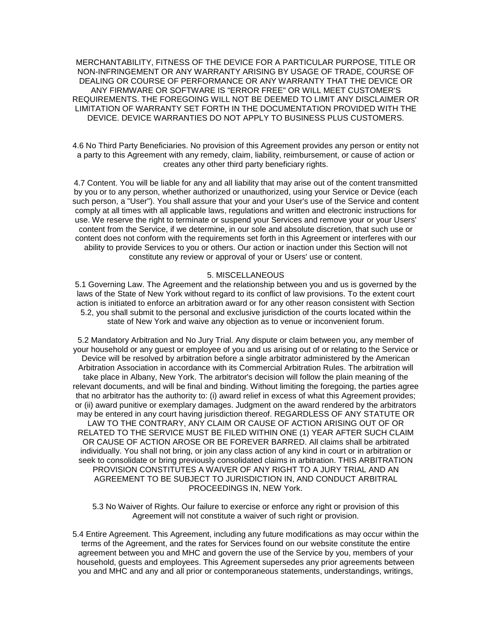MERCHANTABILITY, FITNESS OF THE DEVICE FOR A PARTICULAR PURPOSE, TITLE OR NON-INFRINGEMENT OR ANY WARRANTY ARISING BY USAGE OF TRADE, COURSE OF DEALING OR COURSE OF PERFORMANCE OR ANY WARRANTY THAT THE DEVICE OR ANY FIRMWARE OR SOFTWARE IS "ERROR FREE" OR WILL MEET CUSTOMER'S REQUIREMENTS. THE FOREGOING WILL NOT BE DEEMED TO LIMIT ANY DISCLAIMER OR LIMITATION OF WARRANTY SET FORTH IN THE DOCUMENTATION PROVIDED WITH THE DEVICE. DEVICE WARRANTIES DO NOT APPLY TO BUSINESS PLUS CUSTOMERS.

4.6 No Third Party Beneficiaries. No provision of this Agreement provides any person or entity not a party to this Agreement with any remedy, claim, liability, reimbursement, or cause of action or creates any other third party beneficiary rights.

4.7 Content. You will be liable for any and all liability that may arise out of the content transmitted by you or to any person, whether authorized or unauthorized, using your Service or Device (each such person, a "User"). You shall assure that your and your User's use of the Service and content comply at all times with all applicable laws, regulations and written and electronic instructions for use. We reserve the right to terminate or suspend your Services and remove your or your Users' content from the Service, if we determine, in our sole and absolute discretion, that such use or content does not conform with the requirements set forth in this Agreement or interferes with our ability to provide Services to you or others. Our action or inaction under this Section will not constitute any review or approval of your or Users' use or content.

### 5. MISCELLANEOUS

5.1 Governing Law. The Agreement and the relationship between you and us is governed by the laws of the State of New York without regard to its conflict of law provisions. To the extent court action is initiated to enforce an arbitration award or for any other reason consistent with Section 5.2, you shall submit to the personal and exclusive jurisdiction of the courts located within the state of New York and waive any objection as to venue or inconvenient forum.

5.2 Mandatory Arbitration and No Jury Trial. Any dispute or claim between you, any member of your household or any guest or employee of you and us arising out of or relating to the Service or Device will be resolved by arbitration before a single arbitrator administered by the American Arbitration Association in accordance with its Commercial Arbitration Rules. The arbitration will take place in Albany, New York. The arbitrator's decision will follow the plain meaning of the relevant documents, and will be final and binding. Without limiting the foregoing, the parties agree that no arbitrator has the authority to: (i) award relief in excess of what this Agreement provides; or (ii) award punitive or exemplary damages. Judgment on the award rendered by the arbitrators may be entered in any court having jurisdiction thereof. REGARDLESS OF ANY STATUTE OR LAW TO THE CONTRARY, ANY CLAIM OR CAUSE OF ACTION ARISING OUT OF OR RELATED TO THE SERVICE MUST BE FILED WITHIN ONE (1) YEAR AFTER SUCH CLAIM OR CAUSE OF ACTION AROSE OR BE FOREVER BARRED. All claims shall be arbitrated individually. You shall not bring, or join any class action of any kind in court or in arbitration or seek to consolidate or bring previously consolidated claims in arbitration. THIS ARBITRATION PROVISION CONSTITUTES A WAIVER OF ANY RIGHT TO A JURY TRIAL AND AN AGREEMENT TO BE SUBJECT TO JURISDICTION IN, AND CONDUCT ARBITRAL PROCEEDINGS IN, NEW York.

5.3 No Waiver of Rights. Our failure to exercise or enforce any right or provision of this Agreement will not constitute a waiver of such right or provision.

5.4 Entire Agreement. This Agreement, including any future modifications as may occur within the terms of the Agreement, and the rates for Services found on our website constitute the entire agreement between you and MHC and govern the use of the Service by you, members of your household, guests and employees. This Agreement supersedes any prior agreements between you and MHC and any and all prior or contemporaneous statements, understandings, writings,